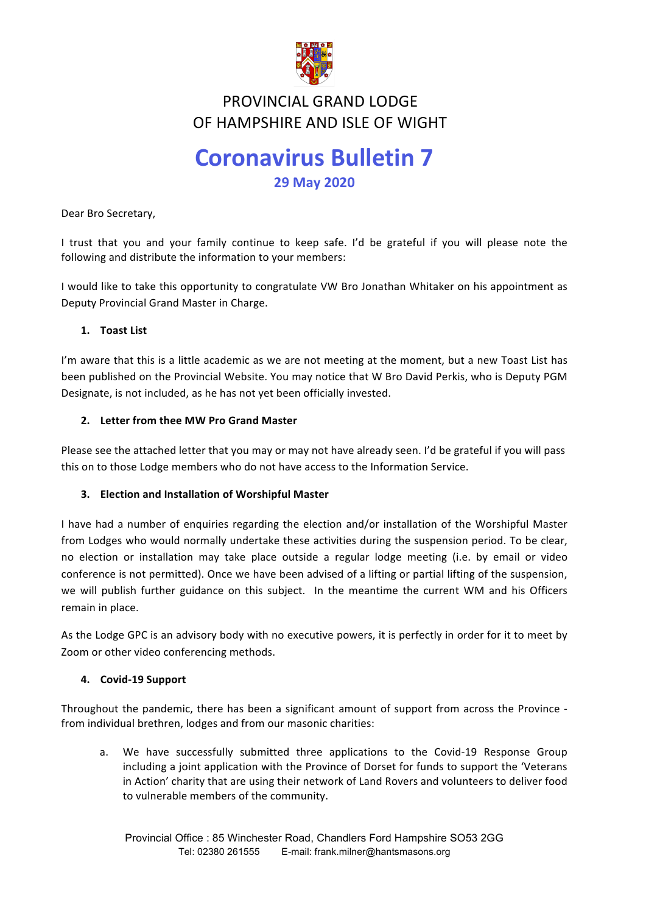

## **FIND VINCIAL GIMMD LODGL<br>OF HAMPSHIRE AND ISLE OF WIGHT** PROVINCIAL GRAND LODGE

# **Coronavirus Bulletin 7 29 May 2020**

Dear Bro Secretary,

I trust that you and your family continue to keep safe. I'd be grateful if you will please note the following and distribute the information to your members:

I would like to take this opportunity to congratulate VW Bro Jonathan Whitaker on his appointment as Deputy Provincial Grand Master in Charge.

### **1. Toast List**

I'm aware that this is a little academic as we are not meeting at the moment, but a new Toast List has been published on the Provincial Website. You may notice that W Bro David Perkis, who is Deputy PGM Designate, is not included, as he has not yet been officially invested.

### 2. Letter from thee MW Pro Grand Master

Please see the attached letter that you may or may not have already seen. I'd be grateful if you will pass this on to those Lodge members who do not have access to the Information Service.

### **3. Election and Installation of Worshipful Master**

I have had a number of enquiries regarding the election and/or installation of the Worshipful Master from Lodges who would normally undertake these activities during the suspension period. To be clear, no election or installation may take place outside a regular lodge meeting (i.e. by email or video conference is not permitted). Once we have been advised of a lifting or partial lifting of the suspension, we will publish further guidance on this subject. In the meantime the current WM and his Officers remain in place.

As the Lodge GPC is an advisory body with no executive powers, it is perfectly in order for it to meet by Zoom or other video conferencing methods.

#### **4. Covid-19 Support**

Throughout the pandemic, there has been a significant amount of support from across the Province from individual brethren, lodges and from our masonic charities:

a. We have successfully submitted three applications to the Covid-19 Response Group including a joint application with the Province of Dorset for funds to support the 'Veterans in Action' charity that are using their network of Land Rovers and volunteers to deliver food to vulnerable members of the community.

Provincial Office : 85 Winchester Road, Chandlers Ford Hampshire SO53 2GG Tel: 02380 261555 E-mail: frank.milner@hantsmasons.org